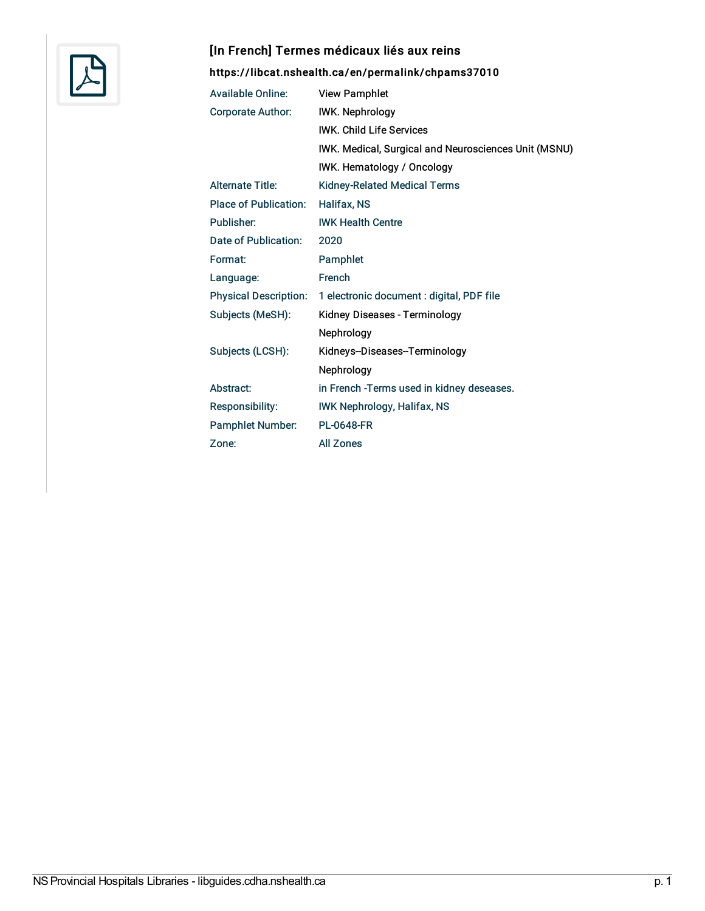

## [In French] Termes médicaux liés aux reins

## <https://libcat.nshealth.ca/en/permalink/chpams37010>

| <b>Available Online:</b>     | <b>View Pamphlet</b>                                 |
|------------------------------|------------------------------------------------------|
| <b>Corporate Author:</b>     | <b>IWK. Nephrology</b>                               |
|                              | <b>IWK. Child Life Services</b>                      |
|                              | IWK. Medical, Surgical and Neurosciences Unit (MSNU) |
|                              | IWK. Hematology / Oncology                           |
| <b>Alternate Title:</b>      | <b>Kidney-Related Medical Terms</b>                  |
| <b>Place of Publication:</b> | Halifax, NS                                          |
| Publisher:                   | <b>IWK Health Centre</b>                             |
| Date of Publication:         | 2020                                                 |
| Format:                      | Pamphlet                                             |
| Language:                    | French                                               |
| <b>Physical Description:</b> | 1 electronic document : digital, PDF file            |
| Subjects (MeSH):             | Kidney Diseases - Terminology                        |
|                              | Nephrology                                           |
| Subjects (LCSH):             | Kidneys-Diseases-Terminology                         |
|                              | Nephrology                                           |
| Abstract:                    | in French - Terms used in kidney deseases.           |
| Responsibility:              | <b>IWK Nephrology, Halifax, NS</b>                   |
| <b>Pamphlet Number:</b>      | <b>PL-0648-FR</b>                                    |
| Zone:                        | <b>All Zones</b>                                     |